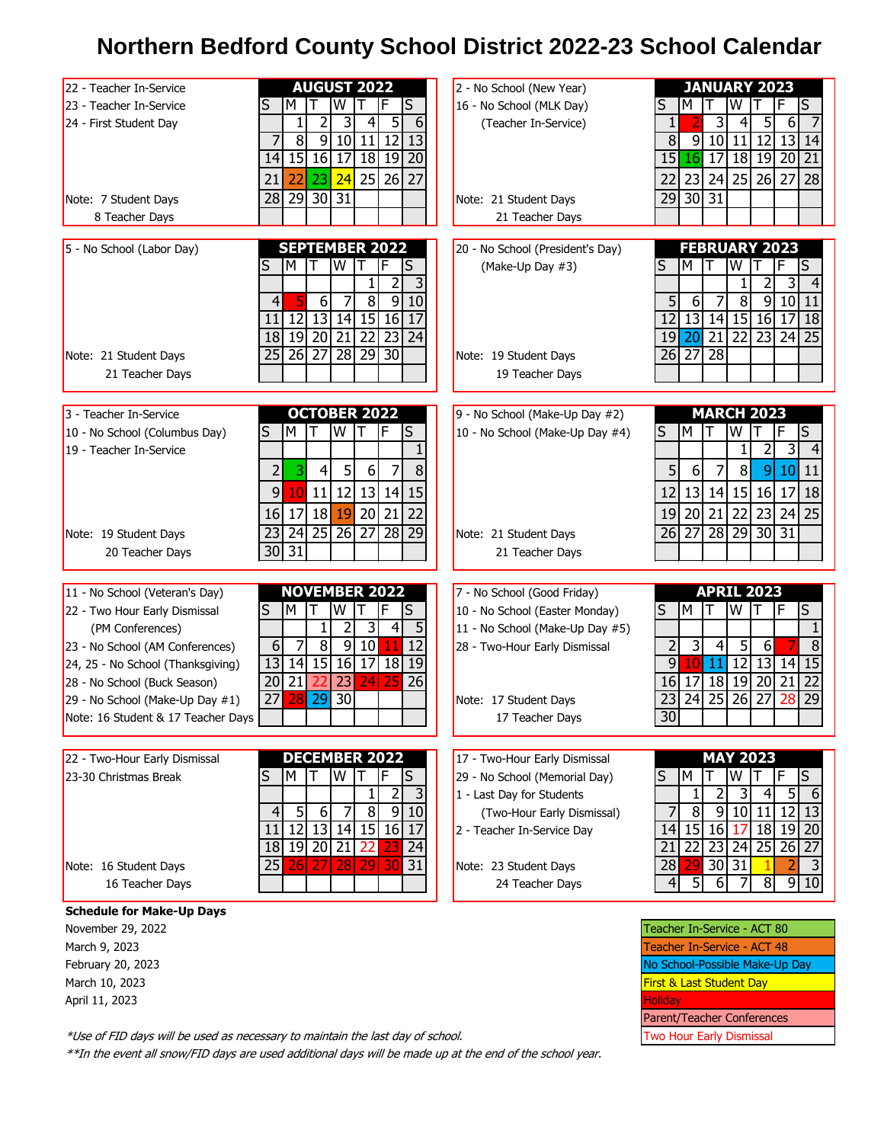## **Northern Bedford County School District 2022-23 School Calendar**

| 22 - Teacher In-Service            | <b>AUGUST 2022</b>                                                            | 2 - No School (New Year)         | <b>JANUARY 2023</b>                                                                      |
|------------------------------------|-------------------------------------------------------------------------------|----------------------------------|------------------------------------------------------------------------------------------|
| 23 - Teacher In-Service            | S<br>W<br>т<br>F<br>S<br>м                                                    | 16 - No School (MLK Day)         | S<br>S<br>w<br>м                                                                         |
| 24 - First Student Day             | 5<br>2<br>6<br>1<br>4                                                         | (Teacher In-Service)             | 3<br>5<br>$1\vert$<br>6<br>4                                                             |
|                                    | $\overline{8}$<br>9 10 <br>11<br>$\overline{12}$<br>$\overline{13}$           |                                  | $\overline{8}$<br>$\overline{9}$<br>10<br>$\overline{12}$<br>$\overline{13}$<br>11<br>14 |
|                                    | 15<br>16 17<br>18 19<br>20<br>14                                              |                                  | 15<br>16<br>17<br>18 19<br>20<br>21                                                      |
|                                    |                                                                               |                                  |                                                                                          |
|                                    | 25<br>27<br>23<br>26<br>21<br>24<br>22                                        |                                  | 25<br>28<br>23<br>24<br>27<br>22<br>26                                                   |
| Note: 7 Student Days               | 30 31<br>29<br>28                                                             | Note: 21 Student Days            | $\overline{31}$<br>29<br>30                                                              |
| 8 Teacher Days                     |                                                                               | 21 Teacher Days                  |                                                                                          |
|                                    |                                                                               |                                  |                                                                                          |
| 5 - No School (Labor Day)          | <b>SEPTEMBER 2022</b>                                                         | 20 - No School (President's Day) | <b>FEBRUARY 2023</b>                                                                     |
|                                    | S<br>м<br>w                                                                   | (Make-Up Day #3)                 | S<br>S<br>м<br>w                                                                         |
|                                    | 3<br>2                                                                        |                                  | 2<br>3                                                                                   |
|                                    | $\overline{8}$<br>$\overline{9}$<br>6<br>10<br>4                              |                                  | 5 <sup>1</sup><br>8<br>9<br>10<br>6<br>11                                                |
|                                    | 13<br>14 15 16<br>12<br>17<br>11                                              |                                  | $\overline{13}$<br> 14 <br>15 16<br>$\overline{17}$<br>12<br>18                          |
|                                    | 19<br>20<br>$\overline{21}$<br>$\overline{22}$<br>$\overline{23}$<br>18<br>24 |                                  | $\overline{21}$<br>$\overline{22}$<br>$19$ 20<br>23<br>24<br>25                          |
|                                    |                                                                               |                                  |                                                                                          |
| Note: 21 Student Days              | $\overline{27}$<br>28<br>29 30<br>25<br>26                                    | Note: 19 Student Days            | $\overline{27}$<br>$\overline{28}$<br>26                                                 |
| 21 Teacher Days                    |                                                                               | 19 Teacher Days                  |                                                                                          |
|                                    |                                                                               |                                  |                                                                                          |
| 3 - Teacher In-Service             | <b>OCTOBER 2022</b>                                                           | 9 - No School (Make-Up Day #2)   | <b>MARCH 2023</b>                                                                        |
| 10 - No School (Columbus Day)      | W<br>F<br>S<br>S<br>М                                                         | 10 - No School (Make-Up Day #4)  | W<br>F<br>S<br>M<br>S                                                                    |
| 19 - Teacher In-Service            |                                                                               |                                  | 3                                                                                        |
|                                    |                                                                               |                                  |                                                                                          |
|                                    | 3<br>5<br>8<br>2<br>4<br>$6 \mid$<br>7                                        |                                  | 5 <sup>1</sup><br>6<br>8<br>10<br>7<br>$\vert 9 \vert$<br>11                             |
|                                    | 12<br>13 14 <br>9<br>10 <sup>1</sup><br>11<br>15                              |                                  | 13<br>12<br>14<br>$15$   16 <br>17<br>18                                                 |
|                                    | 18<br>20<br>22<br>19<br>21<br>17<br>16                                        |                                  | 22<br>20<br>21<br>23<br>24<br>25<br>19                                                   |
|                                    |                                                                               |                                  |                                                                                          |
| Note: 19 Student Days              | 24<br>25<br>26<br>27<br>28<br>29<br>23                                        | Note: 21 Student Days            | 28<br>29<br>31<br>26<br>-27<br>  30                                                      |
| 20 Teacher Days                    | 31<br>30                                                                      | 21 Teacher Days                  |                                                                                          |
|                                    |                                                                               |                                  |                                                                                          |
| 11 - No School (Veteran's Day)     | <b>NOVEMBER 2022</b>                                                          | 7 - No School (Good Friday)      | <b>APRIL 2023</b>                                                                        |
| 22 - Two Hour Early Dismissal      | S<br>S<br>м                                                                   | 10 - No School (Easter Monday)   | M<br>W<br>S<br>S                                                                         |
| (PM Conferences)                   | 31<br>4<br>5                                                                  | 11 - No School (Make-Up Day #5)  |                                                                                          |
| 23 - No School (AM Conferences)    | 8<br>10 <sup>1</sup><br>12<br>6<br>7<br>9                                     | 28 - Two-Hour Early Dismissal    | 8<br>2<br>3<br>5<br>4<br>6                                                               |
|                                    | 13<br>15<br>16<br>18<br>14<br>17<br>19                                        |                                  | $\overline{9}$<br>12<br>13<br>15<br>14<br>11                                             |
| 24, 25 - No School (Thanksgiving)  |                                                                               |                                  |                                                                                          |
| 28 - No School (Buck Season)       | 21<br>20<br>23<br>26<br>24                                                    |                                  | 18<br>16<br>17<br>19<br>20<br>21<br>22                                                   |
| 29 - No School (Make-Up Day #1)    | 27<br>29<br>30                                                                | Note: 17 Student Days            | $\overline{25}$<br>$\overline{29}$<br>$26$   27<br>28<br>23<br>24                        |
| Note: 16 Student & 17 Teacher Days |                                                                               | 17 Teacher Days                  | 30                                                                                       |
|                                    |                                                                               |                                  |                                                                                          |
| 22 - Two-Hour Early Dismissal      | <b>DECEMBER 2022</b>                                                          | 17 - Two-Hour Early Dismissal    | <b>MAY 2023</b>                                                                          |
| 23-30 Christmas Break              | М<br>S<br>S<br>w                                                              | 29 - No School (Memorial Day)    | М<br>S<br>S<br>W                                                                         |
|                                    |                                                                               |                                  |                                                                                          |
|                                    | 3<br>2                                                                        | 1 - Last Day for Students        | 2<br>5 <sub>l</sub><br>1<br>3<br>$\left 4\right $<br>-6                                  |
|                                    | $\overline{8}$<br>91<br>5 <sub>l</sub><br>6<br>10<br>4                        | (Two-Hour Early Dismissal)       | 8<br>9<br>10 11 <br>13<br><u>121</u>                                                     |
|                                    | 12<br>13 14 15 16 17<br>11                                                    | 2 - Teacher In-Service Day       | $14$ 15<br>16<br>18 19 20<br>17                                                          |
|                                    | 19 20 21 22<br>18<br>24                                                       |                                  | $\overline{22}$<br>23 24 25 26 27<br>21                                                  |
| Note: 16 Student Days              | $29$ 30<br>31<br>25<br>27 28 <br>26                                           | Note: 23 Student Days            | 30 31<br>28<br>29<br>3                                                                   |
| 16 Teacher Days                    |                                                                               | 24 Teacher Days                  | 5<br>$\overline{8}$<br>9 10<br>$6 \mid$<br>4 <sup>1</sup><br>7                           |
|                                    |                                                                               |                                  |                                                                                          |
| <b>Schedule for Make-Up Days</b>   |                                                                               |                                  |                                                                                          |
| November 29, 2022                  |                                                                               |                                  | Teacher In-Service - ACT 80                                                              |
| March 9, 2023                      |                                                                               |                                  | Teacher In-Service - ACT 48                                                              |

| l Teacher In-Service - ACT 80       |  |  |  |  |
|-------------------------------------|--|--|--|--|
| Teacher In-Service - ACT 48         |  |  |  |  |
| No School-Possible Make-Up Day      |  |  |  |  |
| <b>First &amp; Last Student Day</b> |  |  |  |  |
| <b>Holiday</b>                      |  |  |  |  |
| <b>Parent/Teacher Conferences</b>   |  |  |  |  |
| <b>Two Hour Early Dismissal</b>     |  |  |  |  |

\*Use of FID days will be used as necessary to maintain the last day of school.

February 20, 2023 March 10, 2023 April 11, 2023

\*\*In the event all snow/FID days are used additional days will be made up at the end of the school year.